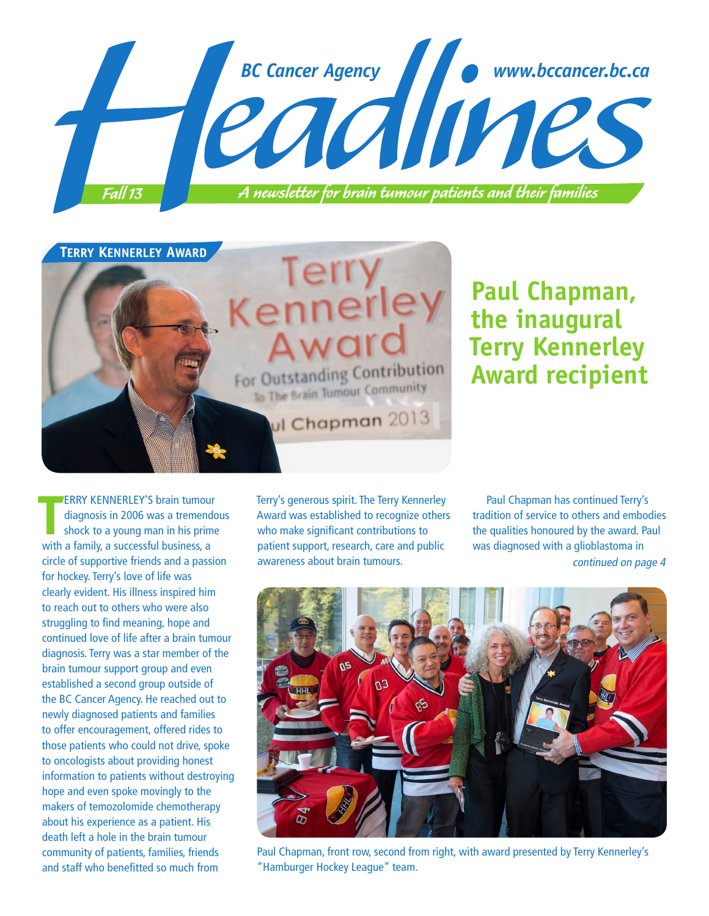

# **TERRY KENNERLEY AWARD** Terr For Outstanding Contribution To The Brain Tumour Community ul Chapman 2013

## **Paul Chapman, the inaugural Terry Kennerley Award recipient**

**TERRY KENNERLEY'S brain tumous**<br>diagnosis in 2006 was a tremend<br>shock to a young man in his prim<br>with a family, a successful business, a ERRY KENNERLEY'S brain tumour diagnosis in 2006 was a tremendous shock to a young man in his prime circle of supportive friends and a passion for hockey. Terry's love of life was clearly evident. His illness inspired him to reach out to others who were also struggling to find meaning, hope and continued love of life after a brain tumour diagnosis. Terry was a star member of the brain tumour support group and even established a second group outside of the BC Cancer Agency. He reached out to newly diagnosed patients and families to offer encouragement, offered rides to those patients who could not drive, spoke to oncologists about providing honest information to patients without destroying hope and even spoke movingly to the makers of temozolomide chemotherapy about his experience as a patient. His death left a hole in the brain tumour community of patients, families, friends and staff who benefitted so much from

Terry's generous spirit. The Terry Kennerley Award was established to recognize others who make significant contributions to patient support, research, care and public awareness about brain tumours.

Paul Chapman has continued Terry's tradition of service to others and embodies the qualities honoured by the award. Paul was diagnosed with a glioblastoma in continued on page 4



Paul Chapman, front row, second from right, with award presented by Terry Kennerley's "Hamburger Hockey League" team.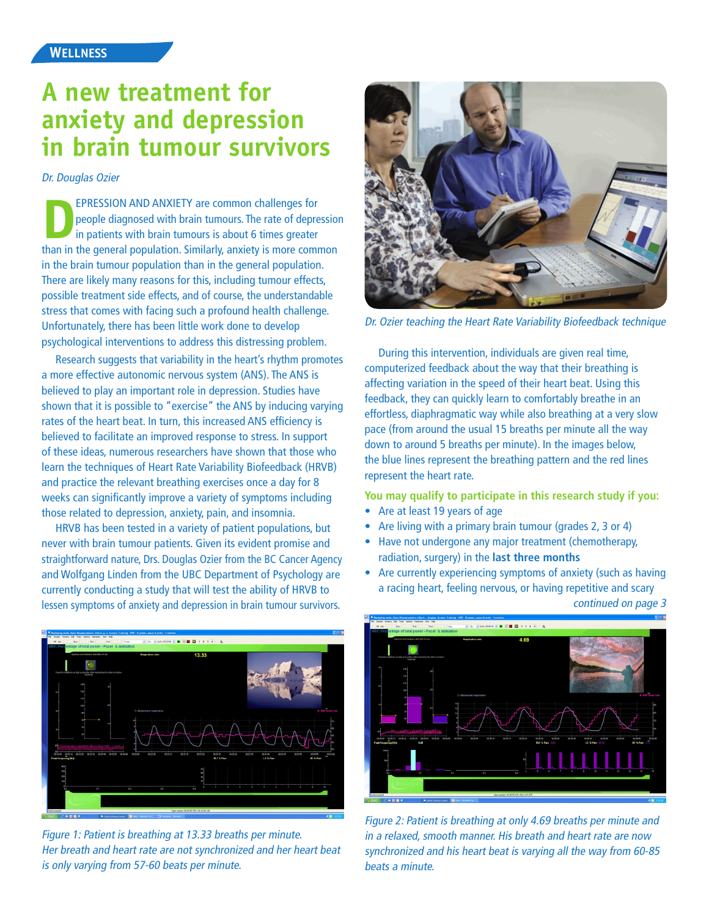### **A new treatment for anxiety and depression in brain tumour survivors**

Dr. Douglas Ozier

**EPRESSION AND ANXIETY are common challenges for** people diagnosed with brain tumours. The rate of depression in patients with brain tumours is about 6 times greater than in the general population. Similarly, anxiety is more common in the brain tumour population than in the general population. There are likely many reasons for this, including tumour effects, possible treatment side effects, and of course, the understandable stress that comes with facing such a profound health challenge. Unfortunately, there has been little work done to develop psychological interventions to address this distressing problem.

Research suggests that variability in the heart's rhythm promotes a more effective autonomic nervous system (ANS). The ANS is believed to play an important role in depression. Studies have shown that it is possible to "exercise" the ANS by inducing varying rates of the heart beat. In turn, this increased ANS efficiency is believed to facilitate an improved response to stress. In support of these ideas, numerous researchers have shown that those who learn the techniques of Heart Rate Variability Biofeedback (HRVB) and practice the relevant breathing exercises once a day for 8 weeks can significantly improve a variety of symptoms including those related to depression, anxiety, pain, and insomnia.

HRVB has been tested in a variety of patient populations, but never with brain tumour patients. Given its evident promise and straightforward nature, Drs. Douglas Ozier from the BC Cancer Agency and Wolfgang Linden from the UBC Department of Psychology are currently conducting a study that will test the ability of HRVB to lessen symptoms of anxiety and depression in brain tumour survivors.



Figure 1: Patient is breathing at 13.33 breaths per minute. Her breath and heart rate are not synchronized and her heart beat is only varying from 57-60 beats per minute.



Dr. Ozier teaching the Heart Rate Variability Biofeedback technique

During this intervention, individuals are given real time, computerized feedback about the way that their breathing is affecting variation in the speed of their heart beat. Using this feedback, they can quickly learn to comfortably breathe in an effortless, diaphragmatic way while also breathing at a very slow pace (from around the usual 15 breaths per minute all the way down to around 5 breaths per minute). In the images below, the blue lines represent the breathing pattern and the red lines represent the heart rate.

**You may qualify to participate in this research study if you:**

- Are at least 19 years of age
- Are living with a primary brain tumour (grades 2, 3 or 4)
- Have not undergone any major treatment (chemotherapy, radiation, surgery) in the **last three months**
- Are currently experiencing symptoms of anxiety (such as having a racing heart, feeling nervous, or having repetitive and scary



Figure 2: Patient is breathing at only 4.69 breaths per minute and in a relaxed, smooth manner. His breath and heart rate are now synchronized and his heart beat is varying all the way from 60-85 beats a minute.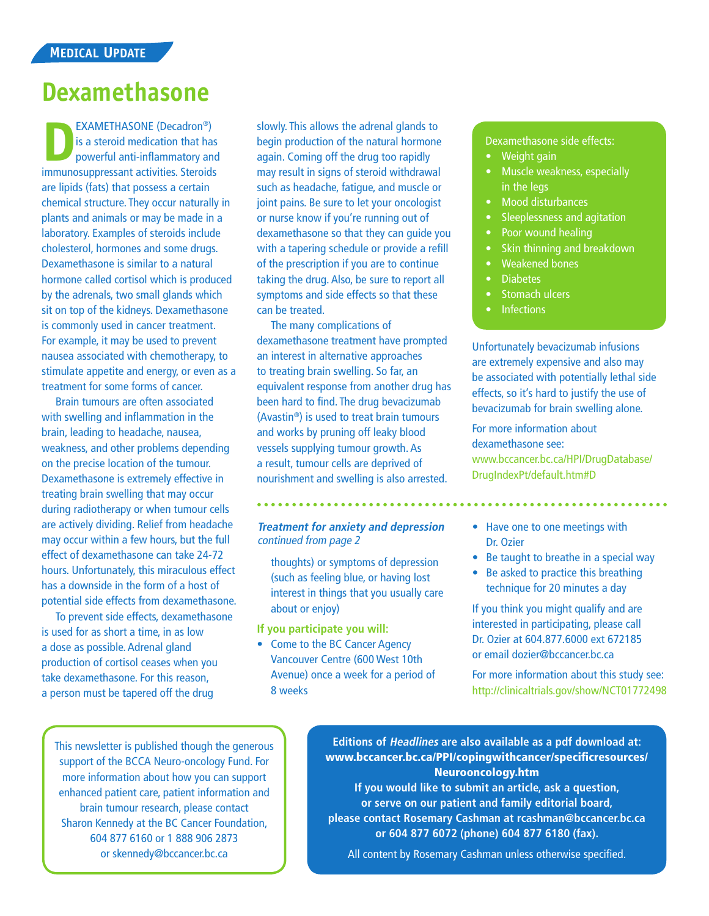### **Dexamethasone**

EXAMETHASONE (Decadron®)<br>
is a steroid medication that has<br>
powerful anti-inflammatory and<br>
immunosupprossent activities Steroids is a steroid medication that has powerful anti-inflammatory and immunosuppressant activities. Steroids are lipids (fats) that possess a certain chemical structure. They occur naturally in plants and animals or may be made in a laboratory. Examples of steroids include cholesterol, hormones and some drugs. Dexamethasone is similar to a natural hormone called cortisol which is produced by the adrenals, two small glands which sit on top of the kidneys. Dexamethasone is commonly used in cancer treatment. For example, it may be used to prevent nausea associated with chemotherapy, to stimulate appetite and energy, or even as a treatment for some forms of cancer.

Brain tumours are often associated with swelling and inflammation in the brain, leading to headache, nausea, weakness, and other problems depending on the precise location of the tumour. Dexamethasone is extremely effective in treating brain swelling that may occur during radiotherapy or when tumour cells are actively dividing. Relief from headache may occur within a few hours, but the full effect of dexamethasone can take 24-72 hours. Unfortunately, this miraculous effect has a downside in the form of a host of potential side effects from dexamethasone.

To prevent side effects, dexamethasone is used for as short a time, in as low a dose as possible. Adrenal gland production of cortisol ceases when you take dexamethasone. For this reason, a person must be tapered off the drug

slowly. This allows the adrenal glands to begin production of the natural hormone again. Coming off the drug too rapidly may result in signs of steroid withdrawal such as headache, fatigue, and muscle or joint pains. Be sure to let your oncologist or nurse know if you're running out of dexamethasone so that they can guide you with a tapering schedule or provide a refill of the prescription if you are to continue taking the drug. Also, be sure to report all symptoms and side effects so that these can be treated.

The many complications of dexamethasone treatment have prompted an interest in alternative approaches to treating brain swelling. So far, an equivalent response from another drug has been hard to find. The drug bevacizumab (Avastin®) is used to treat brain tumours and works by pruning off leaky blood vessels supplying tumour growth. As a result, tumour cells are deprived of nourishment and swelling is also arrested.

**Treatment for anxiety and depression** continued from page 2

thoughts) or symptoms of depression (such as feeling blue, or having lost interest in things that you usually care about or enjoy)

**If you participate you will:**

• Come to the BC Cancer Agency Vancouver Centre (600 West 10th Avenue) once a week for a period of 8 weeks

#### Dexamethasone side effects:

- Weight gain
- Muscle weakness, especially in the leas
- Mood disturbances
- Sleeplessness and agitation
- Poor wound healing
- Skin thinning and breakdown
- Weakened bones
- Diabetes
- Stomach ulcers
- **Infections**

Unfortunately bevacizumab infusions are extremely expensive and also may be associated with potentially lethal side effects, so it's hard to justify the use of bevacizumab for brain swelling alone.

For more information about dexamethasone see: www.bccancer.bc.ca/HPI/DrugDatabase/ DrugIndexPt/default.htm#D

- Have one to one meetings with Dr. Ozier
- Be taught to breathe in a special way
- Be asked to practice this breathing technique for 20 minutes a day

If you think you might qualify and are interested in participating, please call Dr. Ozier at 604.877.6000 ext 672185 or email dozier@bccancer.bc.ca

For more information about this study see: http://clinicaltrials.gov/show/NCT01772498

This newsletter is published though the generous support of the BCCA Neuro-oncology Fund. For more information about how you can support enhanced patient care, patient information and brain tumour research, please contact Sharon Kennedy at the BC Cancer Foundation, 604 877 6160 or 1 888 906 2873 or skennedy@bccancer.bc.ca

**Editions of Headlines are also available as a pdf download at:**  www.bccancer.bc.ca/PPI/copingwithcancer/specificresources/ Neurooncology.htm

**If you would like to submit an article, ask a question, or serve on our patient and family editorial board, please contact Rosemary Cashman at rcashman@bccancer.bc.ca or 604 877 6072 (phone) 604 877 6180 (fax).**

All content by Rosemary Cashman unless otherwise specified.